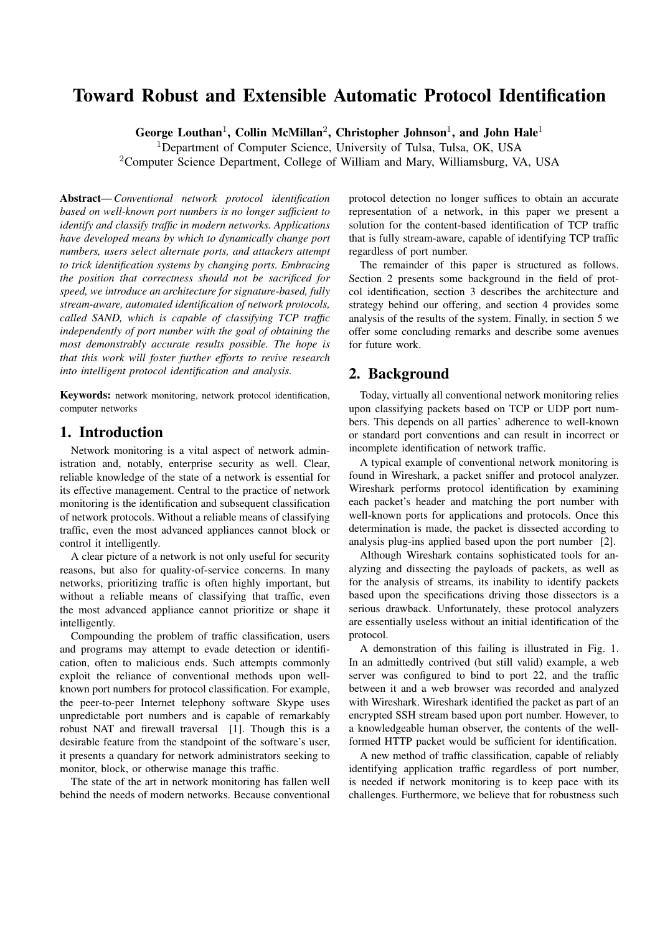# Toward Robust and Extensible Automatic Protocol Identification

George Louthan<sup>1</sup>, Collin McMillan<sup>2</sup>, Christopher Johnson<sup>1</sup>, and John Hale<sup>1</sup>

<sup>1</sup>Department of Computer Science, University of Tulsa, Tulsa, OK, USA <sup>2</sup>Computer Science Department, College of William and Mary, Williamsburg, VA, USA

Abstract—*Conventional network protocol identification based on well-known port numbers is no longer sufficient to identify and classify traffic in modern networks. Applications have developed means by which to dynamically change port numbers, users select alternate ports, and attackers attempt to trick identification systems by changing ports. Embracing the position that correctness should not be sacrificed for speed, we introduce an architecture for signature-based, fully stream-aware, automated identification of network protocols, called SAND, which is capable of classifying TCP traffic independently of port number with the goal of obtaining the most demonstrably accurate results possible. The hope is that this work will foster further efforts to revive research into intelligent protocol identification and analysis.*

Keywords: network monitoring, network protocol identification, computer networks

## 1. Introduction

Network monitoring is a vital aspect of network administration and, notably, enterprise security as well. Clear, reliable knowledge of the state of a network is essential for its effective management. Central to the practice of network monitoring is the identification and subsequent classification of network protocols. Without a reliable means of classifying traffic, even the most advanced appliances cannot block or control it intelligently.

A clear picture of a network is not only useful for security reasons, but also for quality-of-service concerns. In many networks, prioritizing traffic is often highly important, but without a reliable means of classifying that traffic, even the most advanced appliance cannot prioritize or shape it intelligently.

Compounding the problem of traffic classification, users and programs may attempt to evade detection or identification, often to malicious ends. Such attempts commonly exploit the reliance of conventional methods upon wellknown port numbers for protocol classification. For example, the peer-to-peer Internet telephony software Skype uses unpredictable port numbers and is capable of remarkably robust NAT and firewall traversal [1]. Though this is a desirable feature from the standpoint of the software's user, it presents a quandary for network administrators seeking to monitor, block, or otherwise manage this traffic.

The state of the art in network monitoring has fallen well behind the needs of modern networks. Because conventional

protocol detection no longer suffices to obtain an accurate representation of a network, in this paper we present a solution for the content-based identification of TCP traffic that is fully stream-aware, capable of identifying TCP traffic regardless of port number.

The remainder of this paper is structured as follows. Section 2 presents some background in the field of protcol identification, section 3 describes the architecture and strategy behind our offering, and section 4 provides some analysis of the results of the system. Finally, in section 5 we offer some concluding remarks and describe some avenues for future work.

## 2. Background

Today, virtually all conventional network monitoring relies upon classifying packets based on TCP or UDP port numbers. This depends on all parties' adherence to well-known or standard port conventions and can result in incorrect or incomplete identification of network traffic.

A typical example of conventional network monitoring is found in Wireshark, a packet sniffer and protocol analyzer. Wireshark performs protocol identification by examining each packet's header and matching the port number with well-known ports for applications and protocols. Once this determination is made, the packet is dissected according to analysis plug-ins applied based upon the port number [2].

Although Wireshark contains sophisticated tools for analyzing and dissecting the payloads of packets, as well as for the analysis of streams, its inability to identify packets based upon the specifications driving those dissectors is a serious drawback. Unfortunately, these protocol analyzers are essentially useless without an initial identification of the protocol.

A demonstration of this failing is illustrated in Fig. 1. In an admittedly contrived (but still valid) example, a web server was configured to bind to port 22, and the traffic between it and a web browser was recorded and analyzed with Wireshark. Wireshark identified the packet as part of an encrypted SSH stream based upon port number. However, to a knowledgeable human observer, the contents of the wellformed HTTP packet would be sufficient for identification.

A new method of traffic classification, capable of reliably identifying application traffic regardless of port number, is needed if network monitoring is to keep pace with its challenges. Furthermore, we believe that for robustness such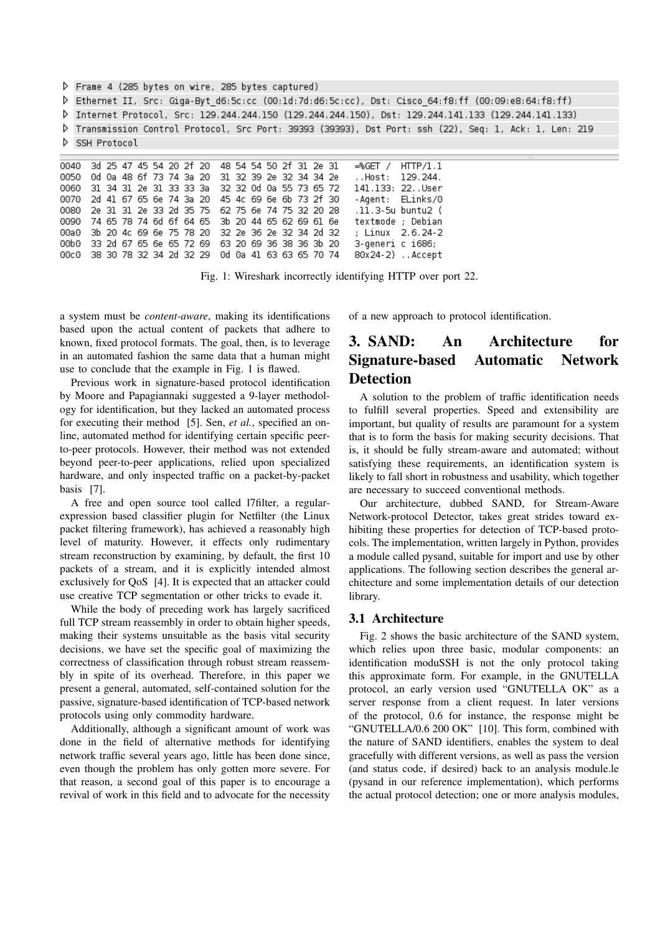▷ Frame 4 (285 bytes on wire, 285 bytes captured)

Fthernet II, Src: Giga-Byt\_d6:5c:cc (00:1d:7d:d6:5c:cc), Dst: Cisco\_64:f8:ff (00:09:e8:64:f8:ff) \

P Internet Protocol, Src: 129.244.244.150 (129.244.244.150), Dst: 129.244.141.133 (129.244.141.133)

P Transmission Control Protocol, Src Port: 39393 (39393), Dst Port: ssh (22), Seq: 1, Ack: 1, Len: 219 SSH Protocol

0040 3d 25 47 45 54 20 2f 20 48 54 54 50 2f 31 2e 31  $-$ %GFT /  $HTP/1.1$ 0050 Od Oa 48 6f 73 74 3a 20 31 32 39 2e 32 34 34 2e 129.244. ..Host: 31 34 31 2e 31 33 33 3a 32 32 0d 0a 55 73 65 72 141.133: 22..User 0060 0070  $2<sub>d</sub>$ 41 67 65 6e 74 3a 20 45 4c 69 6e 6b 73 2f 30 - Agent: ELinks/0 0080 2e 31 31 2e 33 2d 35 75 62 75 6e 74 75 32 20 28 .11.3-5u buntu2 ( 0090 74 65 78 74 6d 6f 64 65 3b 20 44 65 62 69 61 6e textmode : Debian 00a0 3b 20 4c 69 6e 75 78 20 32 2e 36 2e 32 34 2d 32 ; Linux 2.6.24-2 33 2d 67 65 6e 65 72 69 63 20 69 36 38 36 3b 20 00b0 3-generi c i686; 38 30 78 32 34 2d 32 29 0d 0a 41 63 63 65 70 74 80x24-2) . Accept 00c0

Fig. 1: Wireshark incorrectly identifying HTTP over port 22.

a system must be *content-aware*, making its identifications based upon the actual content of packets that adhere to known, fixed protocol formats. The goal, then, is to leverage in an automated fashion the same data that a human might use to conclude that the example in Fig. 1 is flawed.

Previous work in signature-based protocol identification by Moore and Papagiannaki suggested a 9-layer methodology for identification, but they lacked an automated process for executing their method [5]. Sen, *et al.*, specified an online, automated method for identifying certain specific peerto-peer protocols. However, their method was not extended beyond peer-to-peer applications, relied upon specialized hardware, and only inspected traffic on a packet-by-packet basis [7].

A free and open source tool called l7filter, a regularexpression based classifier plugin for Netfilter (the Linux packet filtering framework), has achieved a reasonably high level of maturity. However, it effects only rudimentary stream reconstruction by examining, by default, the first 10 packets of a stream, and it is explicitly intended almost exclusively for QoS [4]. It is expected that an attacker could use creative TCP segmentation or other tricks to evade it.

While the body of preceding work has largely sacrificed full TCP stream reassembly in order to obtain higher speeds, making their systems unsuitable as the basis vital security decisions, we have set the specific goal of maximizing the correctness of classification through robust stream reassembly in spite of its overhead. Therefore, in this paper we present a general, automated, self-contained solution for the passive, signature-based identification of TCP-based network protocols using only commodity hardware.

Additionally, although a significant amount of work was done in the field of alternative methods for identifying network traffic several years ago, little has been done since, even though the problem has only gotten more severe. For that reason, a second goal of this paper is to encourage a revival of work in this field and to advocate for the necessity

of a new approach to protocol identification.

# 3. SAND: An Architecture for Signature-based Automatic Network **Detection**

A solution to the problem of traffic identification needs to fulfill several properties. Speed and extensibility are important, but quality of results are paramount for a system that is to form the basis for making security decisions. That is, it should be fully stream-aware and automated; without satisfying these requirements, an identification system is likely to fall short in robustness and usability, which together are necessary to succeed conventional methods.

Our architecture, dubbed SAND, for Stream-Aware Network-protocol Detector, takes great strides toward exhibiting these properties for detection of TCP-based protocols. The implementation, written largely in Python, provides a module called pysand, suitable for import and use by other applications. The following section describes the general architecture and some implementation details of our detection library.

### 3.1 Architecture

Fig. 2 shows the basic architecture of the SAND system, which relies upon three basic, modular components: an identification moduSSH is not the only protocol taking this approximate form. For example, in the GNUTELLA protocol, an early version used "GNUTELLA OK" as a server response from a client request. In later versions of the protocol, 0.6 for instance, the response might be "GNUTELLA/0.6 200 OK" [10]. This form, combined with the nature of SAND identifiers, enables the system to deal gracefully with different versions, as well as pass the version (and status code, if desired) back to an analysis module.le (pysand in our reference implementation), which performs the actual protocol detection; one or more analysis modules,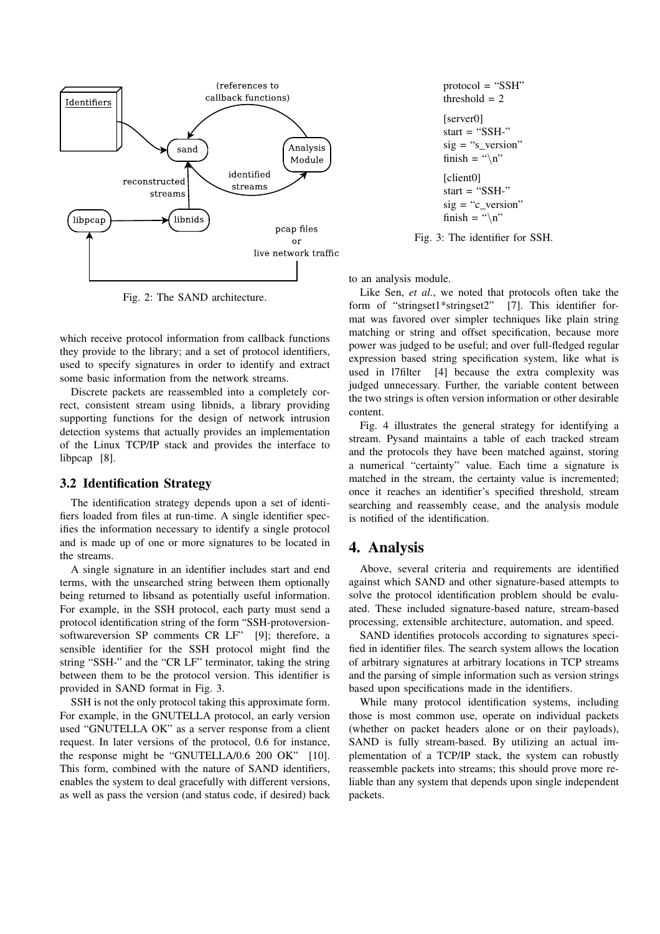

Fig. 2: The SAND architecture.

which receive protocol information from callback functions they provide to the library; and a set of protocol identifiers, used to specify signatures in order to identify and extract some basic information from the network streams.

Discrete packets are reassembled into a completely correct, consistent stream using libnids, a library providing supporting functions for the design of network intrusion detection systems that actually provides an implementation of the Linux TCP/IP stack and provides the interface to libpcap [8].

#### 3.2 Identification Strategy

The identification strategy depends upon a set of identifiers loaded from files at run-time. A single identifier specifies the information necessary to identify a single protocol and is made up of one or more signatures to be located in the streams.

A single signature in an identifier includes start and end terms, with the unsearched string between them optionally being returned to libsand as potentially useful information. For example, in the SSH protocol, each party must send a protocol identification string of the form "SSH-protoversionsoftwareversion SP comments CR LF" [9]; therefore, a sensible identifier for the SSH protocol might find the string "SSH-" and the "CR LF" terminator, taking the string between them to be the protocol version. This identifier is provided in SAND format in Fig. 3.

SSH is not the only protocol taking this approximate form. For example, in the GNUTELLA protocol, an early version used "GNUTELLA OK" as a server response from a client request. In later versions of the protocol, 0.6 for instance, the response might be "GNUTELLA/0.6 200 OK" [10]. This form, combined with the nature of SAND identifiers, enables the system to deal gracefully with different versions, as well as pass the version (and status code, if desired) back

```
protocol = "SSH"
threshold = 2[server0]
start = "SSH-"
sig = "s\_version"finish = "\ln"
[client0]
start = "SSH-"
sig = "c_ver sion"finish = "\ln"
```
Fig. 3: The identifier for SSH.

to an analysis module.

Like Sen, *et al.*, we noted that protocols often take the form of "stringset1\*stringset2" [7]. This identifier format was favored over simpler techniques like plain string matching or string and offset specification, because more power was judged to be useful; and over full-fledged regular expression based string specification system, like what is used in l7filter [4] because the extra complexity was judged unnecessary. Further, the variable content between the two strings is often version information or other desirable content.

Fig. 4 illustrates the general strategy for identifying a stream. Pysand maintains a table of each tracked stream and the protocols they have been matched against, storing a numerical "certainty" value. Each time a signature is matched in the stream, the certainty value is incremented; once it reaches an identifier's specified threshold, stream searching and reassembly cease, and the analysis module is notified of the identification.

### 4. Analysis

Above, several criteria and requirements are identified against which SAND and other signature-based attempts to solve the protocol identification problem should be evaluated. These included signature-based nature, stream-based processing, extensible architecture, automation, and speed.

SAND identifies protocols according to signatures specified in identifier files. The search system allows the location of arbitrary signatures at arbitrary locations in TCP streams and the parsing of simple information such as version strings based upon specifications made in the identifiers.

While many protocol identification systems, including those is most common use, operate on individual packets (whether on packet headers alone or on their payloads), SAND is fully stream-based. By utilizing an actual implementation of a TCP/IP stack, the system can robustly reassemble packets into streams; this should prove more reliable than any system that depends upon single independent packets.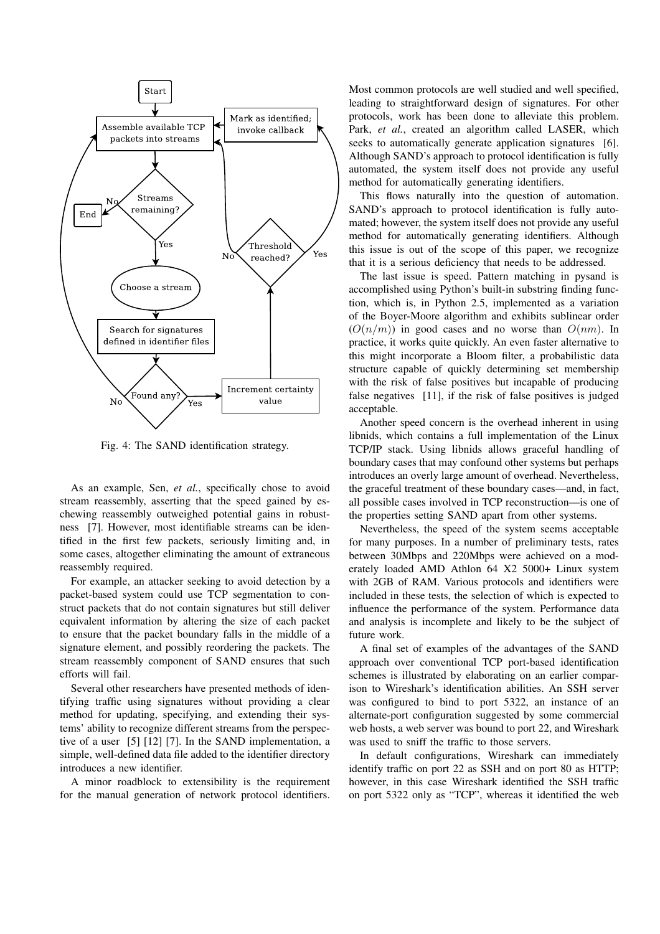

Fig. 4: The SAND identification strategy.

As an example, Sen, *et al.*, specifically chose to avoid stream reassembly, asserting that the speed gained by eschewing reassembly outweighed potential gains in robustness [7]. However, most identifiable streams can be identified in the first few packets, seriously limiting and, in some cases, altogether eliminating the amount of extraneous reassembly required.

For example, an attacker seeking to avoid detection by a packet-based system could use TCP segmentation to construct packets that do not contain signatures but still deliver equivalent information by altering the size of each packet to ensure that the packet boundary falls in the middle of a signature element, and possibly reordering the packets. The stream reassembly component of SAND ensures that such efforts will fail.

Several other researchers have presented methods of identifying traffic using signatures without providing a clear method for updating, specifying, and extending their systems' ability to recognize different streams from the perspective of a user [5] [12] [7]. In the SAND implementation, a simple, well-defined data file added to the identifier directory introduces a new identifier.

A minor roadblock to extensibility is the requirement for the manual generation of network protocol identifiers.

Most common protocols are well studied and well specified, leading to straightforward design of signatures. For other protocols, work has been done to alleviate this problem. Park, *et al.*, created an algorithm called LASER, which seeks to automatically generate application signatures [6]. Although SAND's approach to protocol identification is fully automated, the system itself does not provide any useful method for automatically generating identifiers.

This flows naturally into the question of automation. SAND's approach to protocol identification is fully automated; however, the system itself does not provide any useful method for automatically generating identifiers. Although this issue is out of the scope of this paper, we recognize that it is a serious deficiency that needs to be addressed.

The last issue is speed. Pattern matching in pysand is accomplished using Python's built-in substring finding function, which is, in Python 2.5, implemented as a variation of the Boyer-Moore algorithm and exhibits sublinear order  $(O(n/m))$  in good cases and no worse than  $O(nm)$ . In practice, it works quite quickly. An even faster alternative to this might incorporate a Bloom filter, a probabilistic data structure capable of quickly determining set membership with the risk of false positives but incapable of producing false negatives [11], if the risk of false positives is judged acceptable.

Another speed concern is the overhead inherent in using libnids, which contains a full implementation of the Linux TCP/IP stack. Using libnids allows graceful handling of boundary cases that may confound other systems but perhaps introduces an overly large amount of overhead. Nevertheless, the graceful treatment of these boundary cases—and, in fact, all possible cases involved in TCP reconstruction—is one of the properties setting SAND apart from other systems.

Nevertheless, the speed of the system seems acceptable for many purposes. In a number of preliminary tests, rates between 30Mbps and 220Mbps were achieved on a moderately loaded AMD Athlon 64 X2 5000+ Linux system with 2GB of RAM. Various protocols and identifiers were included in these tests, the selection of which is expected to influence the performance of the system. Performance data and analysis is incomplete and likely to be the subject of future work.

A final set of examples of the advantages of the SAND approach over conventional TCP port-based identification schemes is illustrated by elaborating on an earlier comparison to Wireshark's identification abilities. An SSH server was configured to bind to port 5322, an instance of an alternate-port configuration suggested by some commercial web hosts, a web server was bound to port 22, and Wireshark was used to sniff the traffic to those servers.

In default configurations, Wireshark can immediately identify traffic on port 22 as SSH and on port 80 as HTTP; however, in this case Wireshark identified the SSH traffic on port 5322 only as "TCP", whereas it identified the web